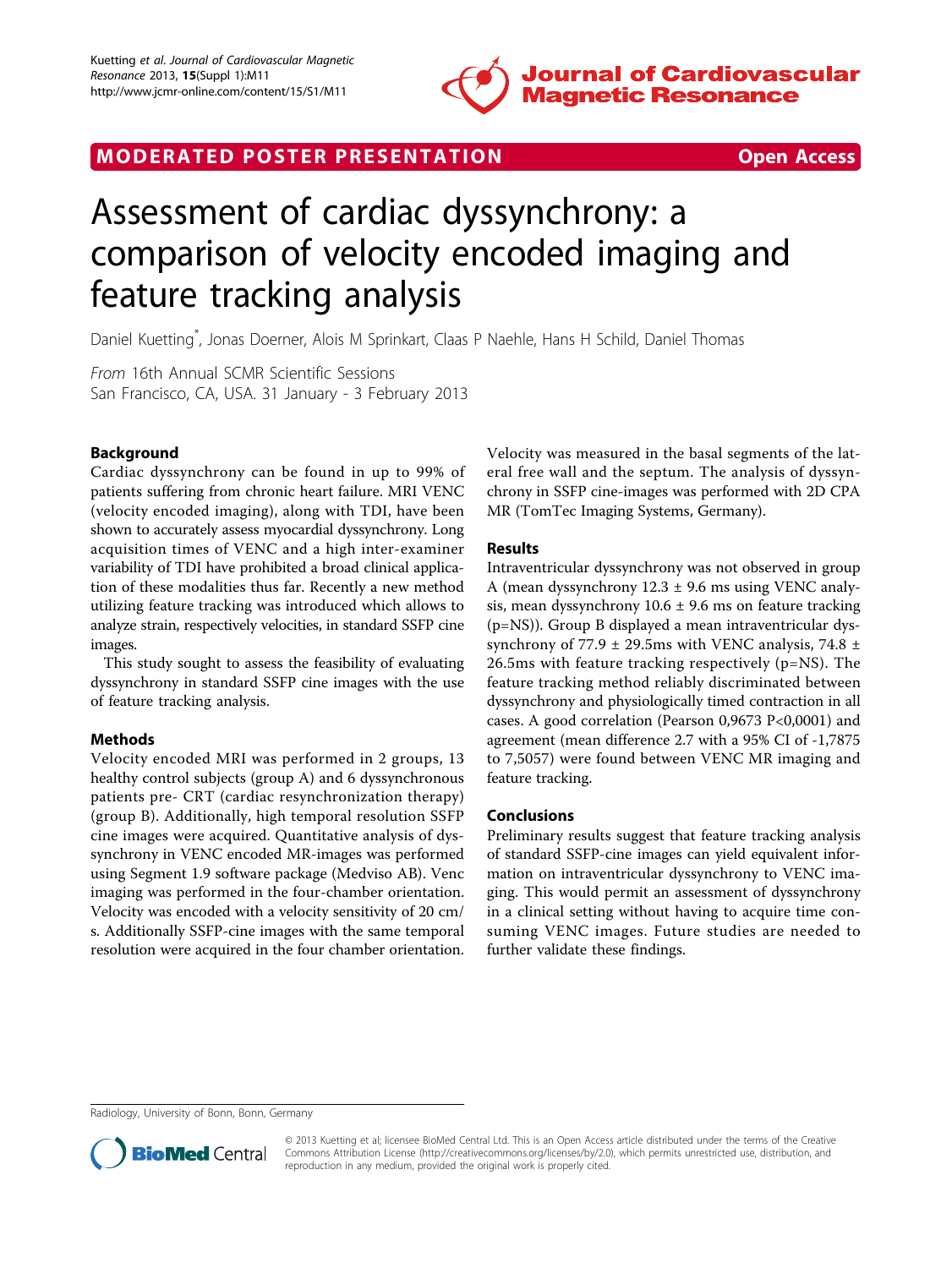

## MODERATED POSTER PRESENTATION **SECURE 20 SET ACCESS**

# Assessment of cardiac dyssynchrony: a comparison of velocity encoded imaging and feature tracking analysis

Daniel Kuetting\* , Jonas Doerner, Alois M Sprinkart, Claas P Naehle, Hans H Schild, Daniel Thomas

From 16th Annual SCMR Scientific Sessions San Francisco, CA, USA. 31 January - 3 February 2013

### Background

Cardiac dyssynchrony can be found in up to 99% of patients suffering from chronic heart failure. MRI VENC (velocity encoded imaging), along with TDI, have been shown to accurately assess myocardial dyssynchrony. Long acquisition times of VENC and a high inter-examiner variability of TDI have prohibited a broad clinical application of these modalities thus far. Recently a new method utilizing feature tracking was introduced which allows to analyze strain, respectively velocities, in standard SSFP cine images.

This study sought to assess the feasibility of evaluating dyssynchrony in standard SSFP cine images with the use of feature tracking analysis.

### Methods

Velocity encoded MRI was performed in 2 groups, 13 healthy control subjects (group A) and 6 dyssynchronous patients pre- CRT (cardiac resynchronization therapy) (group B). Additionally, high temporal resolution SSFP cine images were acquired. Quantitative analysis of dyssynchrony in VENC encoded MR-images was performed using Segment 1.9 software package (Medviso AB). Venc imaging was performed in the four-chamber orientation. Velocity was encoded with a velocity sensitivity of 20 cm/ s. Additionally SSFP-cine images with the same temporal resolution were acquired in the four chamber orientation. Velocity was measured in the basal segments of the lateral free wall and the septum. The analysis of dyssynchrony in SSFP cine-images was performed with 2D CPA MR (TomTec Imaging Systems, Germany).

### Results

Intraventricular dyssynchrony was not observed in group A (mean dyssynchrony  $12.3 \pm 9.6$  ms using VENC analysis, mean dyssynchrony  $10.6 \pm 9.6$  ms on feature tracking (p=NS)). Group B displayed a mean intraventricular dyssynchrony of 77.9  $\pm$  29.5ms with VENC analysis, 74.8  $\pm$ 26.5ms with feature tracking respectively (p=NS). The feature tracking method reliably discriminated between dyssynchrony and physiologically timed contraction in all cases. A good correlation (Pearson 0,9673 P<0,0001) and agreement (mean difference 2.7 with a 95% CI of -1,7875 to 7,5057) were found between VENC MR imaging and feature tracking.

### Conclusions

Preliminary results suggest that feature tracking analysis of standard SSFP-cine images can yield equivalent information on intraventricular dyssynchrony to VENC imaging. This would permit an assessment of dyssynchrony in a clinical setting without having to acquire time consuming VENC images. Future studies are needed to further validate these findings.

Radiology, University of Bonn, Bonn, Germany



<sup>© 2013</sup> Kuetting et al; licensee BioMed Central Ltd. This is an Open Access article distributed under the terms of the Creative Commons Attribution License [\(http://creativecommons.org/licenses/by/2.0](http://creativecommons.org/licenses/by/2.0)), which permits unrestricted use, distribution, and reproduction in any medium, provided the original work is properly cited.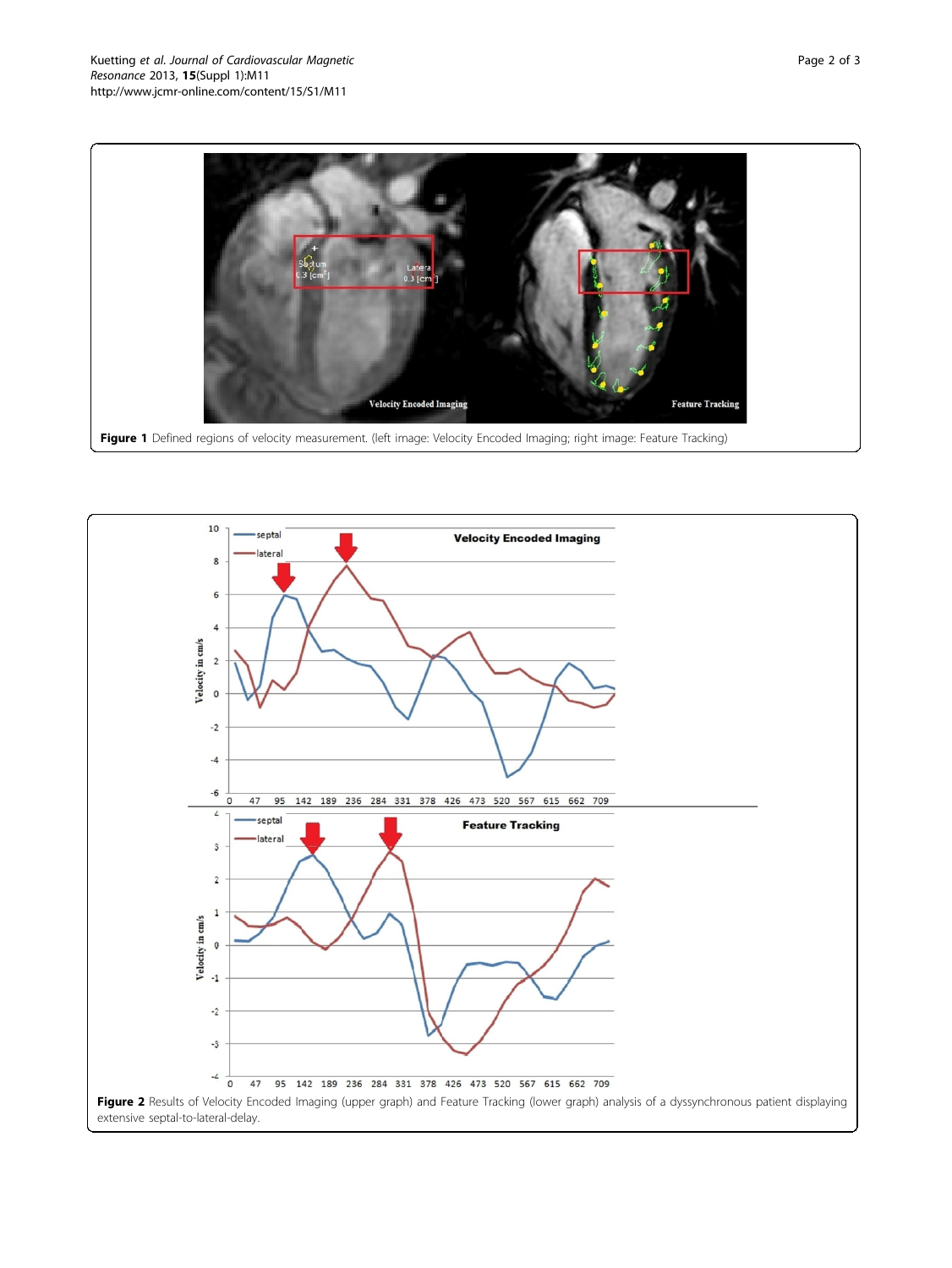